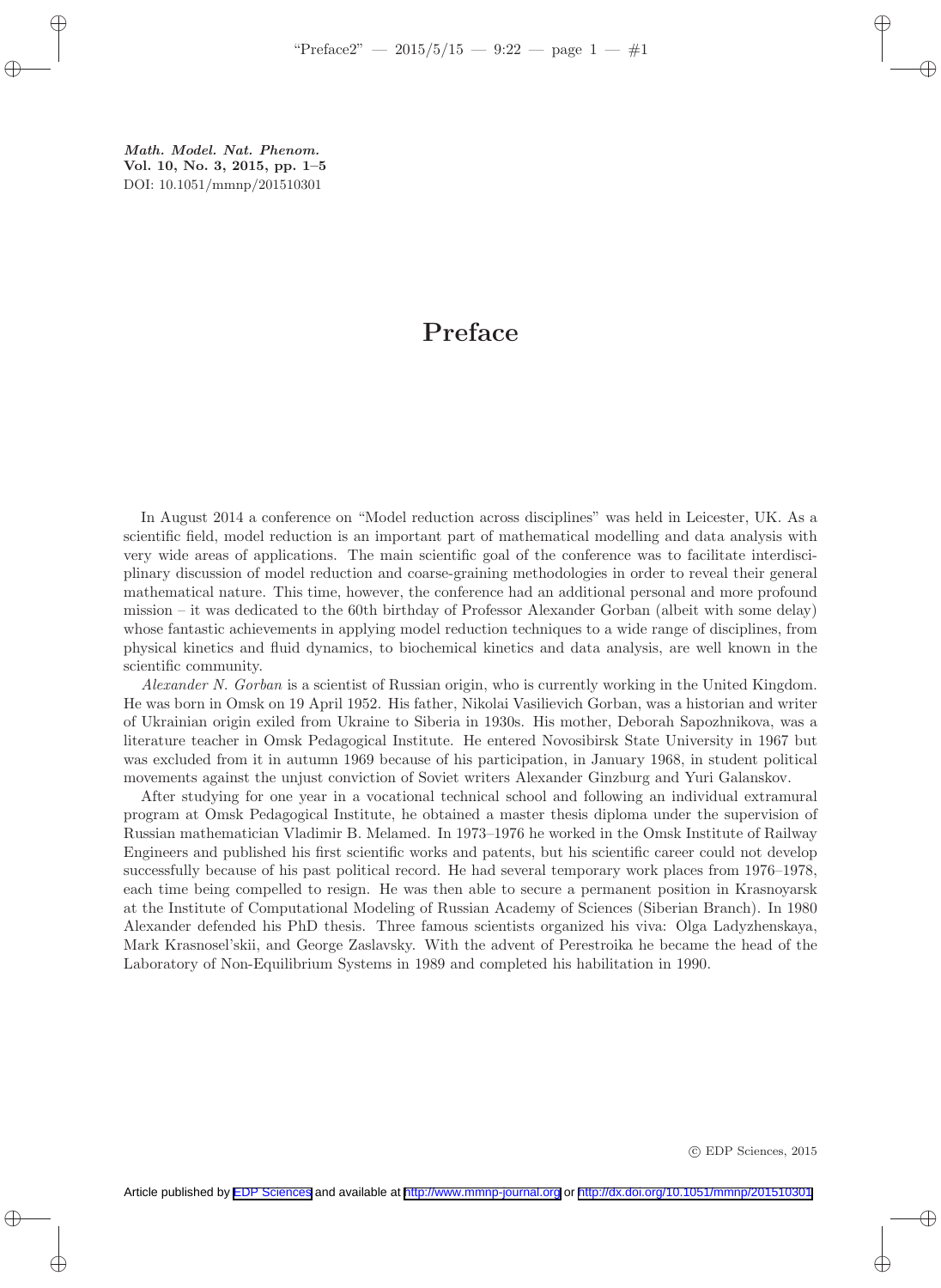Math. Model. Nat. Phenom. Vol. 10, No. 3, 2015, pp. 1–5 DOI: 10.1051/mmnp/201510301

## Preface

In August 2014 a conference on "Model reduction across disciplines" was held in Leicester, UK. As a scientific field, model reduction is an important part of mathematical modelling and data analysis with very wide areas of applications. The main scientific goal of the conference was to facilitate interdisciplinary discussion of model reduction and coarse-graining methodologies in order to reveal their general mathematical nature. This time, however, the conference had an additional personal and more profound mission – it was dedicated to the 60th birthday of Professor Alexander Gorban (albeit with some delay) whose fantastic achievements in applying model reduction techniques to a wide range of disciplines, from physical kinetics and fluid dynamics, to biochemical kinetics and data analysis, are well known in the scientific community.

Alexander N. Gorban is a scientist of Russian origin, who is currently working in the United Kingdom. He was born in Omsk on 19 April 1952. His father, Nikolai Vasilievich Gorban, was a historian and writer of Ukrainian origin exiled from Ukraine to Siberia in 1930s. His mother, Deborah Sapozhnikova, was a literature teacher in Omsk Pedagogical Institute. He entered Novosibirsk State University in 1967 but was excluded from it in autumn 1969 because of his participation, in January 1968, in student political movements against the unjust conviction of Soviet writers Alexander Ginzburg and Yuri Galanskov.

After studying for one year in a vocational technical school and following an individual extramural program at Omsk Pedagogical Institute, he obtained a master thesis diploma under the supervision of Russian mathematician Vladimir B. Melamed. In 1973–1976 he worked in the Omsk Institute of Railway Engineers and published his first scientific works and patents, but his scientific career could not develop successfully because of his past political record. He had several temporary work places from 1976–1978, each time being compelled to resign. He was then able to secure a permanent position in Krasnoyarsk at the Institute of Computational Modeling of Russian Academy of Sciences (Siberian Branch). In 1980 Alexander defended his PhD thesis. Three famous scientists organized his viva: Olga Ladyzhenskaya, Mark Krasnosel'skii, and George Zaslavsky. With the advent of Perestroika he became the head of the Laboratory of Non-Equilibrium Systems in 1989 and completed his habilitation in 1990.

c EDP Sciences, 2015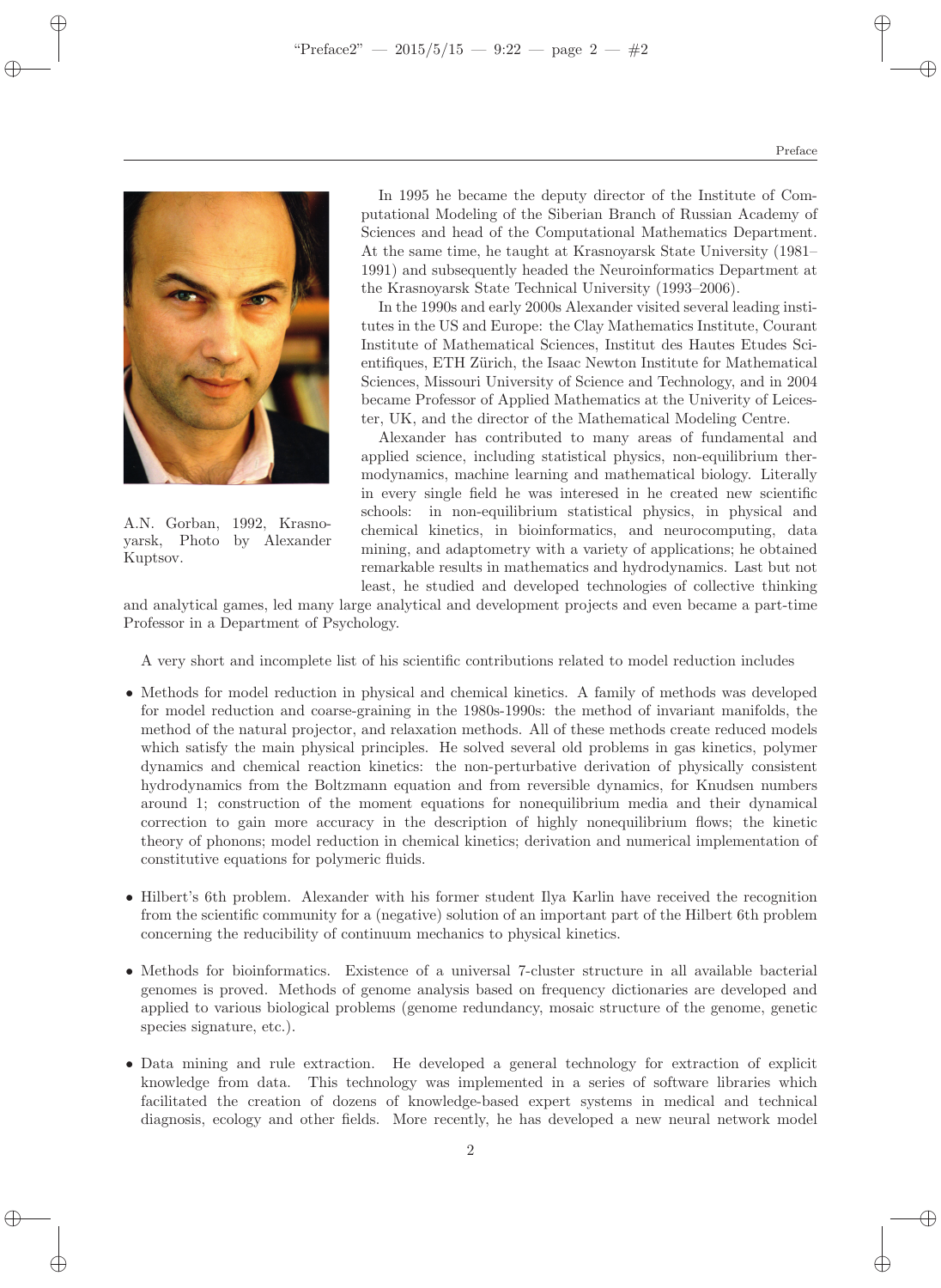

A.N. Gorban, 1992, Krasnoyarsk, Photo by Alexander Kuptsov.

In 1995 he became the deputy director of the Institute of Computational Modeling of the Siberian Branch of Russian Academy of Sciences and head of the Computational Mathematics Department. At the same time, he taught at Krasnoyarsk State University (1981– 1991) and subsequently headed the Neuroinformatics Department at the Krasnoyarsk State Technical University (1993–2006).

In the 1990s and early 2000s Alexander visited several leading institutes in the US and Europe: the Clay Mathematics Institute, Courant Institute of Mathematical Sciences, Institut des Hautes Etudes Scientifiques, ETH Zürich, the Isaac Newton Institute for Mathematical Sciences, Missouri University of Science and Technology, and in 2004 became Professor of Applied Mathematics at the Univerity of Leicester, UK, and the director of the Mathematical Modeling Centre.

Alexander has contributed to many areas of fundamental and applied science, including statistical physics, non-equilibrium thermodynamics, machine learning and mathematical biology. Literally in every single field he was interesed in he created new scientific schools: in non-equilibrium statistical physics, in physical and chemical kinetics, in bioinformatics, and neurocomputing, data mining, and adaptometry with a variety of applications; he obtained remarkable results in mathematics and hydrodynamics. Last but not least, he studied and developed technologies of collective thinking

and analytical games, led many large analytical and development projects and even became a part-time Professor in a Department of Psychology.

A very short and incomplete list of his scientific contributions related to model reduction includes

- Methods for model reduction in physical and chemical kinetics. A family of methods was developed for model reduction and coarse-graining in the 1980s-1990s: the method of invariant manifolds, the method of the natural projector, and relaxation methods. All of these methods create reduced models which satisfy the main physical principles. He solved several old problems in gas kinetics, polymer dynamics and chemical reaction kinetics: the non-perturbative derivation of physically consistent hydrodynamics from the Boltzmann equation and from reversible dynamics, for Knudsen numbers around 1; construction of the moment equations for nonequilibrium media and their dynamical correction to gain more accuracy in the description of highly nonequilibrium flows; the kinetic theory of phonons; model reduction in chemical kinetics; derivation and numerical implementation of constitutive equations for polymeric fluids.
- Hilbert's 6th problem. Alexander with his former student Ilya Karlin have received the recognition from the scientific community for a (negative) solution of an important part of the Hilbert 6th problem concerning the reducibility of continuum mechanics to physical kinetics.
- Methods for bioinformatics. Existence of a universal 7-cluster structure in all available bacterial genomes is proved. Methods of genome analysis based on frequency dictionaries are developed and applied to various biological problems (genome redundancy, mosaic structure of the genome, genetic species signature, etc.).
- Data mining and rule extraction. He developed a general technology for extraction of explicit knowledge from data. This technology was implemented in a series of software libraries which facilitated the creation of dozens of knowledge-based expert systems in medical and technical diagnosis, ecology and other fields. More recently, he has developed a new neural network model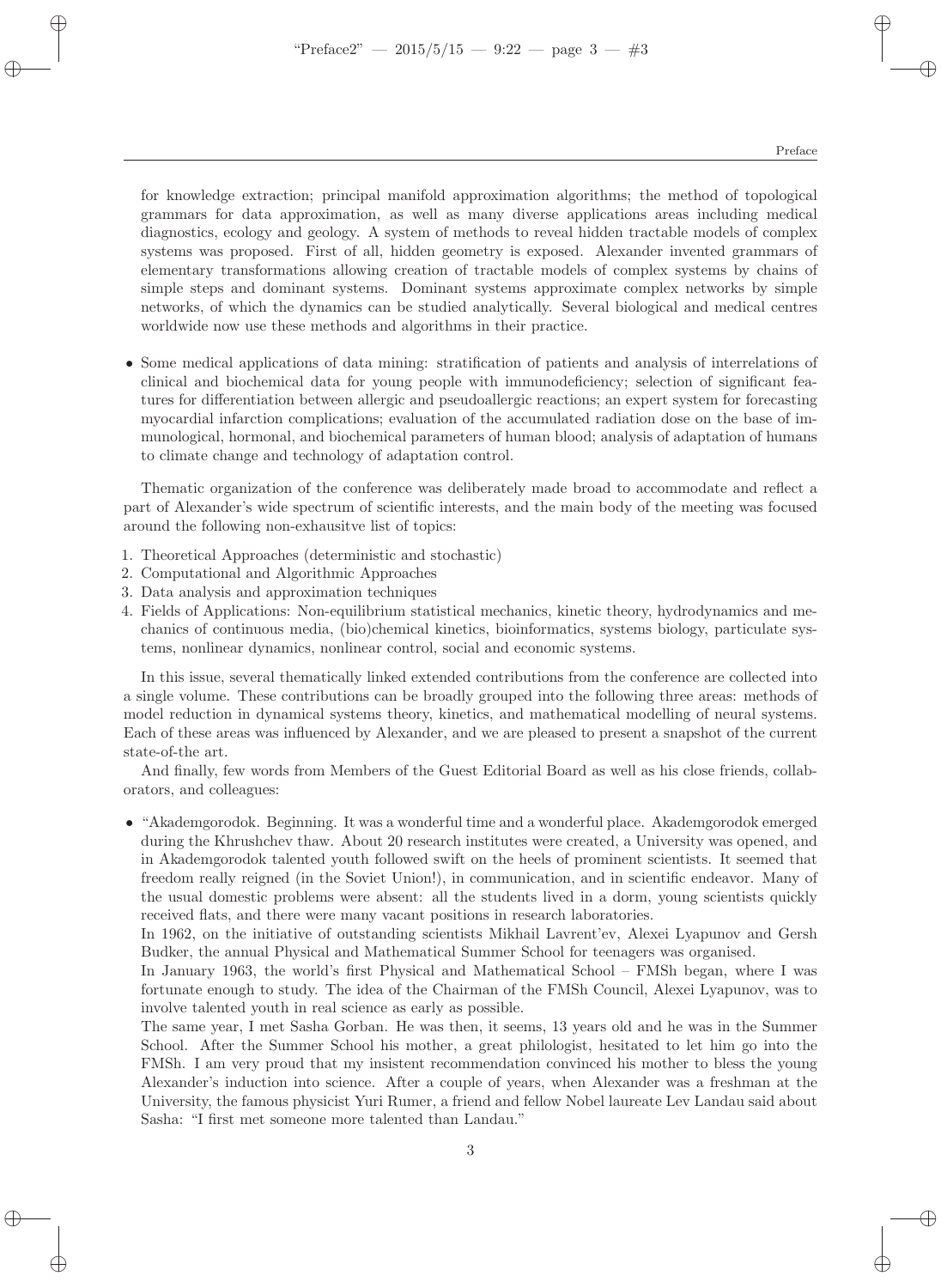for knowledge extraction; principal manifold approximation algorithms; the method of topological grammars for data approximation, as well as many diverse applications areas including medical diagnostics, ecology and geology. A system of methods to reveal hidden tractable models of complex systems was proposed. First of all, hidden geometry is exposed. Alexander invented grammars of elementary transformations allowing creation of tractable models of complex systems by chains of simple steps and dominant systems. Dominant systems approximate complex networks by simple networks, of which the dynamics can be studied analytically. Several biological and medical centres worldwide now use these methods and algorithms in their practice.

• Some medical applications of data mining: stratification of patients and analysis of interrelations of clinical and biochemical data for young people with immunodeficiency; selection of significant features for differentiation between allergic and pseudoallergic reactions; an expert system for forecasting myocardial infarction complications; evaluation of the accumulated radiation dose on the base of immunological, hormonal, and biochemical parameters of human blood; analysis of adaptation of humans to climate change and technology of adaptation control.

Thematic organization of the conference was deliberately made broad to accommodate and reflect a part of Alexander's wide spectrum of scientific interests, and the main body of the meeting was focused around the following non-exhausitve list of topics:

- 1. Theoretical Approaches (deterministic and stochastic)
- 2. Computational and Algorithmic Approaches
- 3. Data analysis and approximation techniques
- 4. Fields of Applications: Non-equilibrium statistical mechanics, kinetic theory, hydrodynamics and mechanics of continuous media, (bio)chemical kinetics, bioinformatics, systems biology, particulate systems, nonlinear dynamics, nonlinear control, social and economic systems.

In this issue, several thematically linked extended contributions from the conference are collected into a single volume. These contributions can be broadly grouped into the following three areas: methods of model reduction in dynamical systems theory, kinetics, and mathematical modelling of neural systems. Each of these areas was influenced by Alexander, and we are pleased to present a snapshot of the current state-of-the art.

And finally, few words from Members of the Guest Editorial Board as well as his close friends, collaborators, and colleagues:

• "Akademgorodok. Beginning. It was a wonderful time and a wonderful place. Akademgorodok emerged during the Khrushchev thaw. About 20 research institutes were created, a University was opened, and in Akademgorodok talented youth followed swift on the heels of prominent scientists. It seemed that freedom really reigned (in the Soviet Union!), in communication, and in scientific endeavor. Many of the usual domestic problems were absent: all the students lived in a dorm, young scientists quickly received flats, and there were many vacant positions in research laboratories.

In 1962, on the initiative of outstanding scientists Mikhail Lavrent'ev, Alexei Lyapunov and Gersh Budker, the annual Physical and Mathematical Summer School for teenagers was organised.

In January 1963, the world's first Physical and Mathematical School – FMSh began, where I was fortunate enough to study. The idea of the Chairman of the FMSh Council, Alexei Lyapunov, was to involve talented youth in real science as early as possible.

The same year, I met Sasha Gorban. He was then, it seems, 13 years old and he was in the Summer School. After the Summer School his mother, a great philologist, hesitated to let him go into the FMSh. I am very proud that my insistent recommendation convinced his mother to bless the young Alexander's induction into science. After a couple of years, when Alexander was a freshman at the University, the famous physicist Yuri Rumer, a friend and fellow Nobel laureate Lev Landau said about Sasha: "I first met someone more talented than Landau."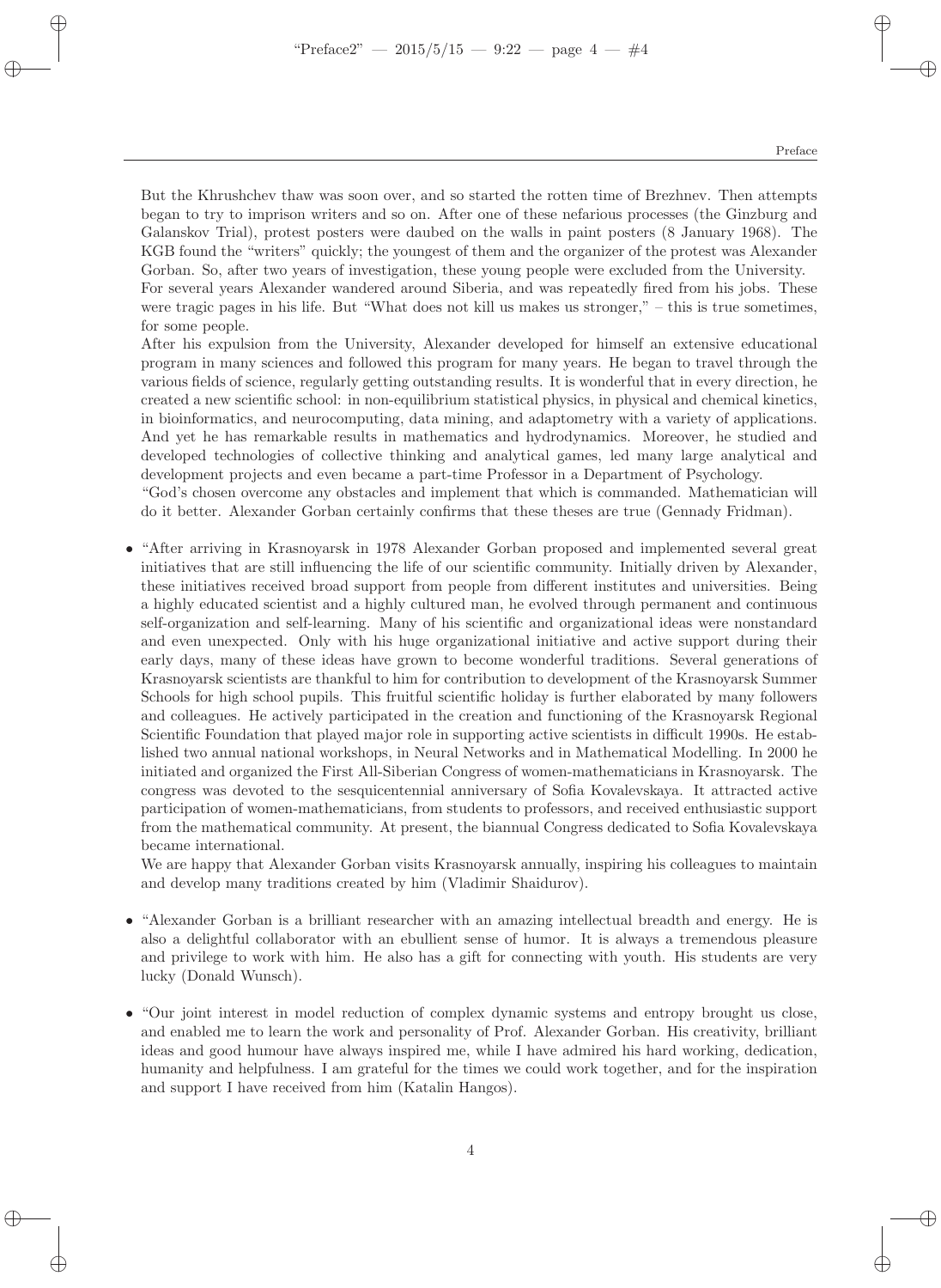But the Khrushchev thaw was soon over, and so started the rotten time of Brezhnev. Then attempts began to try to imprison writers and so on. After one of these nefarious processes (the Ginzburg and Galanskov Trial), protest posters were daubed on the walls in paint posters (8 January 1968). The KGB found the "writers" quickly; the youngest of them and the organizer of the protest was Alexander Gorban. So, after two years of investigation, these young people were excluded from the University. For several years Alexander wandered around Siberia, and was repeatedly fired from his jobs. These were tragic pages in his life. But "What does not kill us makes us stronger," – this is true sometimes, for some people.

After his expulsion from the University, Alexander developed for himself an extensive educational program in many sciences and followed this program for many years. He began to travel through the various fields of science, regularly getting outstanding results. It is wonderful that in every direction, he created a new scientific school: in non-equilibrium statistical physics, in physical and chemical kinetics, in bioinformatics, and neurocomputing, data mining, and adaptometry with a variety of applications. And yet he has remarkable results in mathematics and hydrodynamics. Moreover, he studied and developed technologies of collective thinking and analytical games, led many large analytical and development projects and even became a part-time Professor in a Department of Psychology.

"God's chosen overcome any obstacles and implement that which is commanded. Mathematician will do it better. Alexander Gorban certainly confirms that these theses are true (Gennady Fridman).

• "After arriving in Krasnoyarsk in 1978 Alexander Gorban proposed and implemented several great initiatives that are still influencing the life of our scientific community. Initially driven by Alexander, these initiatives received broad support from people from different institutes and universities. Being a highly educated scientist and a highly cultured man, he evolved through permanent and continuous self-organization and self-learning. Many of his scientific and organizational ideas were nonstandard and even unexpected. Only with his huge organizational initiative and active support during their early days, many of these ideas have grown to become wonderful traditions. Several generations of Krasnoyarsk scientists are thankful to him for contribution to development of the Krasnoyarsk Summer Schools for high school pupils. This fruitful scientific holiday is further elaborated by many followers and colleagues. He actively participated in the creation and functioning of the Krasnoyarsk Regional Scientific Foundation that played major role in supporting active scientists in difficult 1990s. He established two annual national workshops, in Neural Networks and in Mathematical Modelling. In 2000 he initiated and organized the First All-Siberian Congress of women-mathematicians in Krasnoyarsk. The congress was devoted to the sesquicentennial anniversary of Sofia Kovalevskaya. It attracted active participation of women-mathematicians, from students to professors, and received enthusiastic support from the mathematical community. At present, the biannual Congress dedicated to Sofia Kovalevskaya became international.

We are happy that Alexander Gorban visits Krasnoyarsk annually, inspiring his colleagues to maintain and develop many traditions created by him (Vladimir Shaidurov).

- "Alexander Gorban is a brilliant researcher with an amazing intellectual breadth and energy. He is also a delightful collaborator with an ebullient sense of humor. It is always a tremendous pleasure and privilege to work with him. He also has a gift for connecting with youth. His students are very lucky (Donald Wunsch).
- "Our joint interest in model reduction of complex dynamic systems and entropy brought us close, and enabled me to learn the work and personality of Prof. Alexander Gorban. His creativity, brilliant ideas and good humour have always inspired me, while I have admired his hard working, dedication, humanity and helpfulness. I am grateful for the times we could work together, and for the inspiration and support I have received from him (Katalin Hangos).